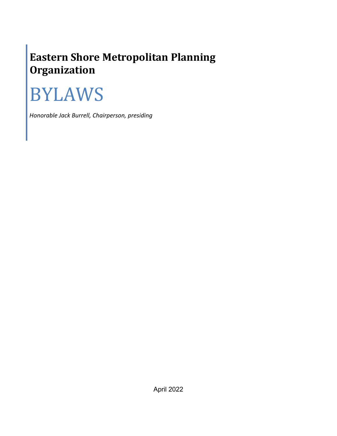# **Eastern Shore Metropolitan Planning Organization**

# BYLAWS

*Honorable Jack Burrell, Chairperson, presiding*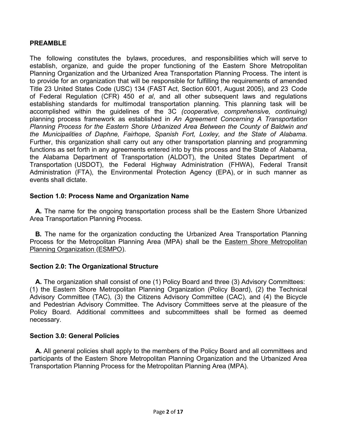# **PREAMBLE**

The following constitutes the bylaws, procedures, and responsibilities which will serve to establish, organize, and guide the proper functioning of the Eastern Shore Metropolitan Planning Organization and the Urbanized Area Transportation Planning Process. The intent is to provide for an organization that will be responsible for fulfilling the requirements of amended Title 23 United States Code (USC) 134 (FAST Act, Section 6001, August 2005), and 23 Code of Federal Regulation (CFR) 450 *et al*, and all other subsequent laws and regulations establishing standards for multimodal transportation planning. This planning task will be accomplished within the guidelines of the 3C *(cooperative, comprehensive, continuing)*  planning process framework as established in *An Agreement Concerning A Transportation Planning Process for the Eastern Shore Urbanized Area Between the County of Baldwin and the Municipalities of Daphne, Fairhope, Spanish Fort, Loxley, and the State of Alabama.*  Further, this organization shall carry out any other transportation planning and programming functions as set forth in any agreements entered into by this process and the State of Alabama, the Alabama Department of Transportation (ALDOT), the United States Department of Transportation (USDOT), the Federal Highway Administration (FHWA), Federal Transit Administration (FTA), the Environmental Protection Agency (EPA), or in such manner as events shall dictate.

# **Section 1.0: Process Name and Organization Name**

**A.** The name for the ongoing transportation process shall be the Eastern Shore Urbanized Area Transportation Planning Process.

**B.** The name for the organization conducting the Urbanized Area Transportation Planning Process for the Metropolitan Planning Area (MPA) shall be the **Eastern Shore Metropolitan** Planning Organization (ESMPO).

# **Section 2.0: The Organizational Structure**

**A.** The organization shall consist of one (1) Policy Board and three (3) Advisory Committees: (1) the Eastern Shore Metropolitan Planning Organization (Policy Board), (2) the Technical Advisory Committee (TAC), (3) the Citizens Advisory Committee (CAC), and (4) the Bicycle and Pedestrian Advisory Committee. The Advisory Committees serve at the pleasure of the Policy Board. Additional committees and subcommittees shall be formed as deemed necessary.

# **Section 3.0: General Policies**

**A.** All general policies shall apply to the members of the Policy Board and all committees and participants of the Eastern Shore Metropolitan Planning Organization and the Urbanized Area Transportation Planning Process for the Metropolitan Planning Area (MPA).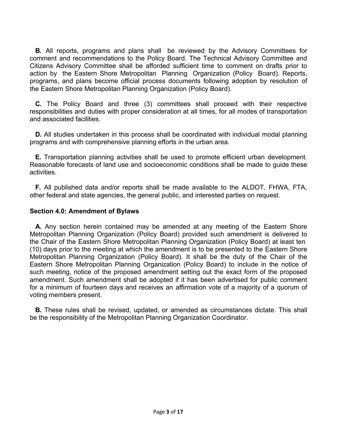**B.** All reports, programs and plans shall be reviewed by the Advisory Committees for comment and recommendations to the Policy Board. The Technical Advisory Committee and Citizens Advisory Committee shall be afforded sufficient time to comment on drafts prior to action by the Eastern Shore Metropolitan Planning Organization (Policy Board). Reports, programs, and plans become official process documents following adoption by resolution of the Eastern Shore Metropolitan Planning Organization (Policy Board).

**C.** The Policy Board and three (3) committees shall proceed with their respective responsibilities and duties with proper consideration at all times, for all modes of transportation and associated facilities.

**D.** All studies undertaken in this process shall be coordinated with individual modal planning programs and with comprehensive planning efforts in the urban area.

**E.** Transportation planning activities shall be used to promote efficient urban development. Reasonable forecasts of land use and socioeconomic conditions shall be made to guide these activities.

**F.** All published data and/or reports shall be made available to the ALDOT, FHWA, FTA, other federal and state agencies, the general public, and interested parties on request.

#### **Section 4.0: Amendment of Bylaws**

**A.** Any section herein contained may be amended at any meeting of the Eastern Shore Metropolitan Planning Organization (Policy Board) provided such amendment is delivered to the Chair of the Eastern Shore Metropolitan Planning Organization (Policy Board) at least ten (10) days prior to the meeting at which the amendment is to be presented to the Eastern Shore Metropolitan Planning Organization (Policy Board). It shall be the duty of the Chair of the Eastern Shore Metropolitan Planning Organization (Policy Board) to include in the notice of such meeting, notice of the proposed amendment setting out the exact form of the proposed amendment. Such amendment shall be adopted if it has been advertised for public comment for a minimum of fourteen days and receives an affirmation vote of a majority of a quorum of voting members present.

**B.** These rules shall be revised, updated, or amended as circumstances dictate. This shall be the responsibility of the Metropolitan Planning Organization Coordinator.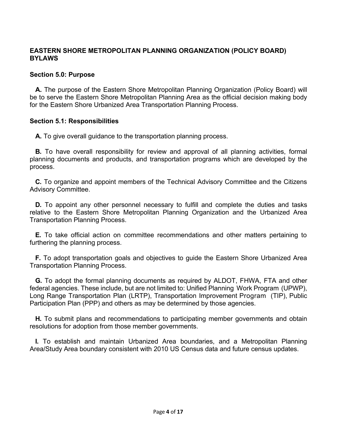# **EASTERN SHORE METROPOLITAN PLANNING ORGANIZATION (POLICY BOARD) BYLAWS**

#### **Section 5.0: Purpose**

**A.** The purpose of the Eastern Shore Metropolitan Planning Organization (Policy Board) will be to serve the Eastern Shore Metropolitan Planning Area as the official decision making body for the Eastern Shore Urbanized Area Transportation Planning Process.

#### **Section 5.1: Responsibilities**

**A.** To give overall guidance to the transportation planning process.

**B.** To have overall responsibility for review and approval of all planning activities, formal planning documents and products, and transportation programs which are developed by the process.

**C.** To organize and appoint members of the Technical Advisory Committee and the Citizens Advisory Committee.

**D.** To appoint any other personnel necessary to fulfill and complete the duties and tasks relative to the Eastern Shore Metropolitan Planning Organization and the Urbanized Area Transportation Planning Process.

**E.** To take official action on committee recommendations and other matters pertaining to furthering the planning process.

**F.** To adopt transportation goals and objectives to guide the Eastern Shore Urbanized Area Transportation Planning Process.

**G.** To adopt the formal planning documents as required by ALDOT, FHWA, FTA and other federal agencies. These include, but are not limited to: Unified Planning Work Program (UPWP), Long Range Transportation Plan (LRTP), Transportation Improvement Program (TIP), Public Participation Plan (PPP) and others as may be determined by those agencies.

**H.** To submit plans and recommendations to participating member governments and obtain resolutions for adoption from those member governments.

**I.** To establish and maintain Urbanized Area boundaries, and a Metropolitan Planning Area/Study Area boundary consistent with 2010 US Census data and future census updates.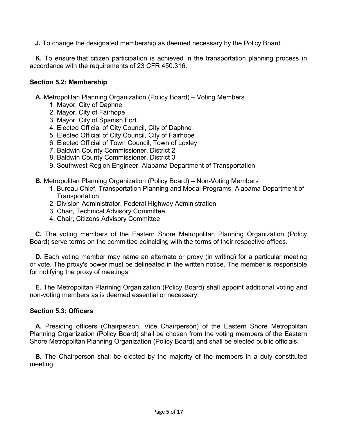**J.** To change the designated membership as deemed necessary by the Policy Board.

**K.** To ensure that citizen participation is achieved in the transportation planning process in accordance with the requirements of 23 CFR 450.316.

#### **Section 5.2: Membership**

**A.** Metropolitan Planning Organization (Policy Board) – Voting Members

- 1. Mayor, City of Daphne
- 2. Mayor, City of Fairhope
- 3. Mayor, City of Spanish Fort
- 4. Elected Official of City Council, City of Daphne
- 5. Elected Official of City Council, City of Fairhope
- 6. Elected Official of Town Council, Town of Loxley
- 7. Baldwin County Commissioner, District 2
- 8. Baldwin County Commissioner, District 3
- 9. Southwest Region Engineer, Alabama Department of Transportation
- **B.** Metropolitan Planning Organization (Policy Board) Non-Voting Members
	- 1. Bureau Chief, Transportation Planning and Modal Programs, Alabama Department of **Transportation**
	- 2. Division Administrator, Federal Highway Administration
	- 3. Chair, Technical Advisory Committee
	- 4. Chair, Citizens Advisory Committee

**C.** The voting members of the Eastern Shore Metropolitan Planning Organization (Policy Board) serve terms on the committee coinciding with the terms of their respective offices.

**D.** Each voting member may name an alternate or proxy (in writing) for a particular meeting or vote. The proxy's power must be delineated in the written notice. The member is responsible for notifying the proxy of meetings.

**E.** The Metropolitan Planning Organization (Policy Board) shall appoint additional voting and non-voting members as is deemed essential or necessary.

# **Section 5.3: Officers**

**A.** Presiding officers (Chairperson, Vice Chairperson) of the Eastern Shore Metropolitan Planning Organization (Policy Board) shall be chosen from the voting members of the Eastern Shore Metropolitan Planning Organization (Policy Board) and shall be elected public officials.

**B.** The Chairperson shall be elected by the majority of the members in a duly constituted meeting.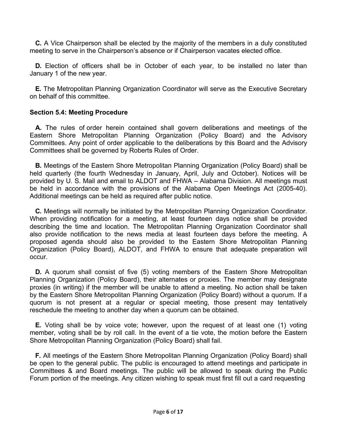**C.** A Vice Chairperson shall be elected by the majority of the members in a duly constituted meeting to serve in the Chairperson's absence or if Chairperson vacates elected office.

**D.** Election of officers shall be in October of each year, to be installed no later than January 1 of the new year.

**E.** The Metropolitan Planning Organization Coordinator will serve as the Executive Secretary on behalf of this committee.

# **Section 5.4: Meeting Procedure**

**A.** The rules of order herein contained shall govern deliberations and meetings of the Eastern Shore Metropolitan Planning Organization (Policy Board) and the Advisory Committees. Any point of order applicable to the deliberations by this Board and the Advisory Committees shall be governed by Roberts Rules of Order.

**B.** Meetings of the Eastern Shore Metropolitan Planning Organization (Policy Board) shall be held quarterly (the fourth Wednesday in January, April, July and October). Notices will be provided by U. S. Mail and email to ALDOT and FHWA – Alabama Division. All meetings must be held in accordance with the provisions of the Alabama Open Meetings Act (2005-40). Additional meetings can be held as required after public notice.

**C.** Meetings will normally be initiated by the Metropolitan Planning Organization Coordinator. When providing notification for a meeting, at least fourteen days notice shall be provided describing the time and location. The Metropolitan Planning Organization Coordinator shall also provide notification to the news media at least fourteen days before the meeting. A proposed agenda should also be provided to the Eastern Shore Metropolitan Planning Organization (Policy Board), ALDOT, and FHWA to ensure that adequate preparation will occur.

**D.** A quorum shall consist of five (5) voting members of the Eastern Shore Metropolitan Planning Organization (Policy Board), their alternates or proxies. The member may designate proxies (in writing) if the member will be unable to attend a meeting. No action shall be taken by the Eastern Shore Metropolitan Planning Organization (Policy Board) without a quorum. If a quorum is not present at a regular or special meeting, those present may tentatively reschedule the meeting to another day when a quorum can be obtained.

**E.** Voting shall be by voice vote; however, upon the request of at least one (1) voting member, voting shall be by roll call. In the event of a tie vote, the motion before the Eastern Shore Metropolitan Planning Organization (Policy Board) shall fail.

**F.** All meetings of the Eastern Shore Metropolitan Planning Organization (Policy Board) shall be open to the general public. The public is encouraged to attend meetings and participate in Committees & and Board meetings. The public will be allowed to speak during the Public Forum portion of the meetings. Any citizen wishing to speak must first fill out a card requesting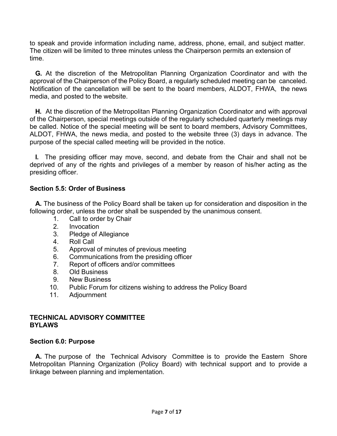to speak and provide information including name, address, phone, email, and subject matter. The citizen will be limited to three minutes unless the Chairperson permits an extension of time.

**G.** At the discretion of the Metropolitan Planning Organization Coordinator and with the approval of the Chairperson of the Policy Board, a regularly scheduled meeting can be canceled. Notification of the cancellation will be sent to the board members, ALDOT, FHWA, the news media, and posted to the website.

**H.** At the discretion of the Metropolitan Planning Organization Coordinator and with approval of the Chairperson, special meetings outside of the regularly scheduled quarterly meetings may be called. Notice of the special meeting will be sent to board members, Advisory Committees, ALDOT, FHWA, the news media, and posted to the website three (3) days in advance. The purpose of the special called meeting will be provided in the notice.

**I.** The presiding officer may move, second, and debate from the Chair and shall not be deprived of any of the rights and privileges of a member by reason of his/her acting as the presiding officer.

# **Section 5.5: Order of Business**

**A.** The business of the Policy Board shall be taken up for consideration and disposition in the following order, unless the order shall be suspended by the unanimous consent.

- 1. Call to order by Chair
- 2. Invocation
- 3. Pledge of Allegiance
- 4. Roll Call
- 5. Approval of minutes of previous meeting
- 6. Communications from the presiding officer
- 7. Report of officers and/or committees
- 8. Old Business
- 9. New Business
- 10. Public Forum for citizens wishing to address the Policy Board
- 11. Adjournment

# **TECHNICAL ADVISORY COMMITTEE BYLAWS**

# **Section 6.0: Purpose**

**A.** The purpose of the Technical Advisory Committee is to provide the Eastern Shore Metropolitan Planning Organization (Policy Board) with technical support and to provide a linkage between planning and implementation.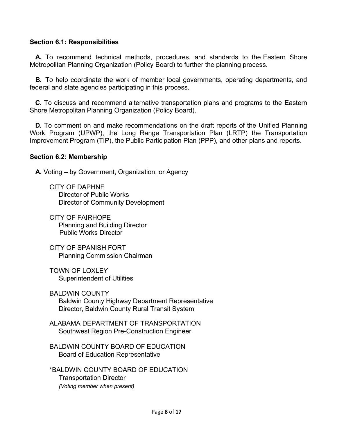# **Section 6.1: Responsibilities**

**A.** To recommend technical methods, procedures, and standards to the Eastern Shore Metropolitan Planning Organization (Policy Board) to further the planning process.

**B.** To help coordinate the work of member local governments, operating departments, and federal and state agencies participating in this process.

**C.** To discuss and recommend alternative transportation plans and programs to the Eastern Shore Metropolitan Planning Organization (Policy Board).

**D.** To comment on and make recommendations on the draft reports of the Unified Planning Work Program (UPWP), the Long Range Transportation Plan (LRTP) the Transportation Improvement Program (TIP), the Public Participation Plan (PPP), and other plans and reports.

#### **Section 6.2: Membership**

**A.** Voting – by Government, Organization, or Agency

CITY OF DAPHNE Director of Public Works Director of Community Development

CITY OF FAIRHOPE Planning and Building Director Public Works Director

CITY OF SPANISH FORT Planning Commission Chairman

TOWN OF LOXLEY Superintendent of Utilities

BALDWIN COUNTY Baldwin County Highway Department Representative Director, Baldwin County Rural Transit System

ALABAMA DEPARTMENT OF TRANSPORTATION Southwest Region Pre-Construction Engineer

BALDWIN COUNTY BOARD OF EDUCATION Board of Education Representative

\*BALDWIN COUNTY BOARD OF EDUCATION Transportation Director *(Voting member when present)*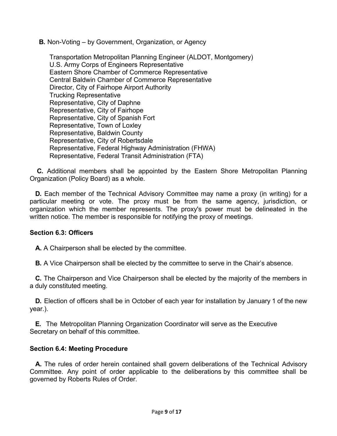**B.** Non-Voting – by Government, Organization, or Agency

Transportation Metropolitan Planning Engineer (ALDOT, Montgomery) U.S. Army Corps of Engineers Representative Eastern Shore Chamber of Commerce Representative Central Baldwin Chamber of Commerce Representative Director, City of Fairhope Airport Authority Trucking Representative Representative, City of Daphne Representative, City of Fairhope Representative, City of Spanish Fort Representative, Town of Loxley Representative, Baldwin County Representative, City of Robertsdale Representative, Federal Highway Administration (FHWA) Representative, Federal Transit Administration (FTA)

**C.** Additional members shall be appointed by the Eastern Shore Metropolitan Planning Organization (Policy Board) as a whole.

**D.** Each member of the Technical Advisory Committee may name a proxy (in writing) for a particular meeting or vote. The proxy must be from the same agency, jurisdiction, or organization which the member represents. The proxy's power must be delineated in the written notice. The member is responsible for notifying the proxy of meetings.

# **Section 6.3: Officers**

**A.** A Chairperson shall be elected by the committee.

**B.** A Vice Chairperson shall be elected by the committee to serve in the Chair's absence.

**C.** The Chairperson and Vice Chairperson shall be elected by the majority of the members in a duly constituted meeting.

**D.** Election of officers shall be in October of each year for installation by January 1 of the new year.).

**E.** The Metropolitan Planning Organization Coordinator will serve as the Executive Secretary on behalf of this committee.

#### **Section 6.4: Meeting Procedure**

**A.** The rules of order herein contained shall govern deliberations of the Technical Advisory Committee. Any point of order applicable to the deliberations by this committee shall be governed by Roberts Rules of Order.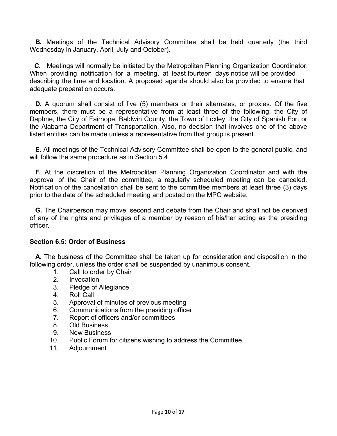**B.** Meetings of the Technical Advisory Committee shall be held quarterly (the third Wednesday in January, April, July and October).

**C.** Meetings will normally be initiated by the Metropolitan Planning Organization Coordinator. When providing notification for a meeting, at least fourteen days notice will be provided describing the time and location. A proposed agenda should also be provided to ensure that adequate preparation occurs.

**D.** A quorum shall consist of five (5) members or their alternates, or proxies. Of the five members, there must be a representative from at least three of the following: the City of Daphne, the City of Fairhope, Baldwin County, the Town of Loxley, the City of Spanish Fort or the Alabama Department of Transportation. Also, no decision that involves one of the above listed entities can be made unless a representative from that group is present.

**E.** All meetings of the Technical Advisory Committee shall be open to the general public, and will follow the same procedure as in Section 5.4.

**F.** At the discretion of the Metropolitan Planning Organization Coordinator and with the approval of the Chair of the committee, a regularly scheduled meeting can be canceled. Notification of the cancellation shall be sent to the committee members at least three (3) days prior to the date of the scheduled meeting and posted on the MPO website.

**G.** The Chairperson may move, second and debate from the Chair and shall not be deprived of any of the rights and privileges of a member by reason of his/her acting as the presiding officer.

#### **Section 6.5: Order of Business**

**A.** The business of the Committee shall be taken up for consideration and disposition in the following order, unless the order shall be suspended by unanimous consent.

- 1. Call to order by Chair
- 2. Invocation
- 3. Pledge of Allegiance
- 4. Roll Call
- 5. Approval of minutes of previous meeting
- 6. Communications from the presiding officer
- 7. Report of officers and/or committees
- 8. Old Business
- 9. New Business
- 10. Public Forum for citizens wishing to address the Committee.
- 11. Adjournment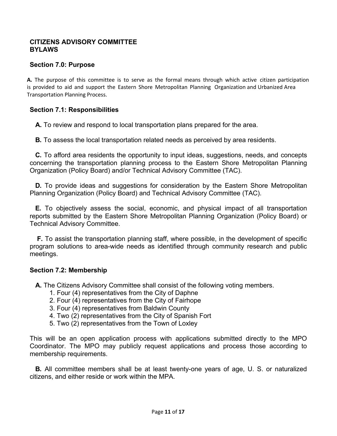#### **CITIZENS ADVISORY COMMITTEE BYLAWS**

#### **Section 7.0: Purpose**

**A.** The purpose of this committee is to serve as the formal means through which active citizen participation is provided to aid and support the Eastern Shore Metropolitan Planning Organization and Urbanized Area Transportation Planning Process.

#### **Section 7.1: Responsibilities**

**A.** To review and respond to local transportation plans prepared for the area.

**B.** To assess the local transportation related needs as perceived by area residents.

**C.** To afford area residents the opportunity to input ideas, suggestions, needs, and concepts concerning the transportation planning process to the Eastern Shore Metropolitan Planning Organization (Policy Board) and/or Technical Advisory Committee (TAC).

**D.** To provide ideas and suggestions for consideration by the Eastern Shore Metropolitan Planning Organization (Policy Board) and Technical Advisory Committee (TAC).

**E.** To objectively assess the social, economic, and physical impact of all transportation reports submitted by the Eastern Shore Metropolitan Planning Organization (Policy Board) or Technical Advisory Committee.

**F.** To assist the transportation planning staff, where possible, in the development of specific program solutions to area-wide needs as identified through community research and public meetings.

#### **Section 7.2: Membership**

**A.** The Citizens Advisory Committee shall consist of the following voting members.

- 1. Four (4) representatives from the City of Daphne
- 2. Four (4) representatives from the City of Fairhope
- 3. Four (4) representatives from Baldwin County
- 4. Two (2) representatives from the City of Spanish Fort
- 5. Two (2) representatives from the Town of Loxley

This will be an open application process with applications submitted directly to the MPO Coordinator. The MPO may publicly request applications and process those according to membership requirements.

**B.** All committee members shall be at least twenty-one years of age, U. S. or naturalized citizens, and either reside or work within the MPA.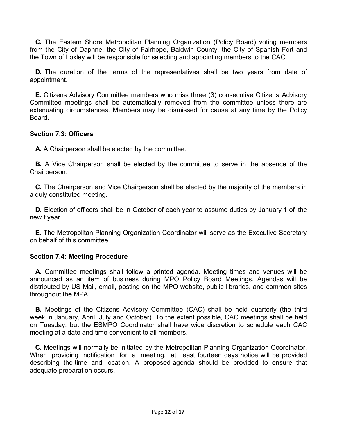**C.** The Eastern Shore Metropolitan Planning Organization (Policy Board) voting members from the City of Daphne, the City of Fairhope, Baldwin County, the City of Spanish Fort and the Town of Loxley will be responsible for selecting and appointing members to the CAC.

**D.** The duration of the terms of the representatives shall be two years from date of appointment.

**E.** Citizens Advisory Committee members who miss three (3) consecutive Citizens Advisory Committee meetings shall be automatically removed from the committee unless there are extenuating circumstances. Members may be dismissed for cause at any time by the Policy Board.

#### **Section 7.3: Officers**

**A.** A Chairperson shall be elected by the committee.

**B.** A Vice Chairperson shall be elected by the committee to serve in the absence of the Chairperson.

**C.** The Chairperson and Vice Chairperson shall be elected by the majority of the members in a duly constituted meeting.

**D.** Election of officers shall be in October of each year to assume duties by January 1 of the new f year.

**E.** The Metropolitan Planning Organization Coordinator will serve as the Executive Secretary on behalf of this committee.

#### **Section 7.4: Meeting Procedure**

**A.** Committee meetings shall follow a printed agenda. Meeting times and venues will be announced as an item of business during MPO Policy Board Meetings. Agendas will be distributed by US Mail, email, posting on the MPO website, public libraries, and common sites throughout the MPA.

**B.** Meetings of the Citizens Advisory Committee (CAC) shall be held quarterly (the third week in January, April, July and October). To the extent possible, CAC meetings shall be held on Tuesday, but the ESMPO Coordinator shall have wide discretion to schedule each CAC meeting at a date and time convenient to all members.

**C.** Meetings will normally be initiated by the Metropolitan Planning Organization Coordinator. When providing notification for a meeting, at least fourteen days notice will be provided describing the time and location. A proposed agenda should be provided to ensure that adequate preparation occurs.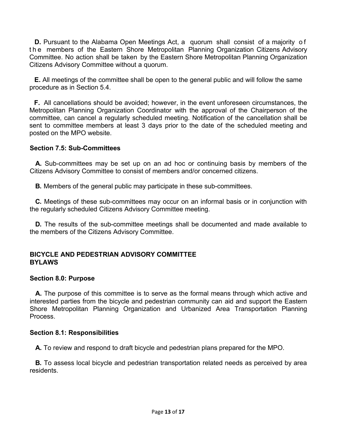**D.** Pursuant to the Alabama Open Meetings Act, a quorum shall consist of a majority o f t h e members of the Eastern Shore Metropolitan Planning Organization Citizens Advisory Committee. No action shall be taken by the Eastern Shore Metropolitan Planning Organization Citizens Advisory Committee without a quorum.

**E.** All meetings of the committee shall be open to the general public and will follow the same procedure as in Section 5.4.

**F.** All cancellations should be avoided; however, in the event unforeseen circumstances, the Metropolitan Planning Organization Coordinator with the approval of the Chairperson of the committee, can cancel a regularly scheduled meeting. Notification of the cancellation shall be sent to committee members at least 3 days prior to the date of the scheduled meeting and posted on the MPO website.

#### **Section 7.5: Sub-Committees**

**A.** Sub-committees may be set up on an ad hoc or continuing basis by members of the Citizens Advisory Committee to consist of members and/or concerned citizens.

**B.** Members of the general public may participate in these sub-committees.

**C.** Meetings of these sub-committees may occur on an informal basis or in conjunction with the regularly scheduled Citizens Advisory Committee meeting.

**D.** The results of the sub-committee meetings shall be documented and made available to the members of the Citizens Advisory Committee.

#### **BICYCLE AND PEDESTRIAN ADVISORY COMMITTEE BYLAWS**

#### **Section 8.0: Purpose**

**A.** The purpose of this committee is to serve as the formal means through which active and interested parties from the bicycle and pedestrian community can aid and support the Eastern Shore Metropolitan Planning Organization and Urbanized Area Transportation Planning Process.

#### **Section 8.1: Responsibilities**

**A.** To review and respond to draft bicycle and pedestrian plans prepared for the MPO.

**B.** To assess local bicycle and pedestrian transportation related needs as perceived by area residents.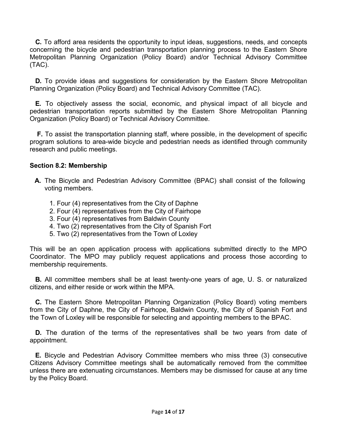**C.** To afford area residents the opportunity to input ideas, suggestions, needs, and concepts concerning the bicycle and pedestrian transportation planning process to the Eastern Shore Metropolitan Planning Organization (Policy Board) and/or Technical Advisory Committee (TAC).

**D.** To provide ideas and suggestions for consideration by the Eastern Shore Metropolitan Planning Organization (Policy Board) and Technical Advisory Committee (TAC).

**E.** To objectively assess the social, economic, and physical impact of all bicycle and pedestrian transportation reports submitted by the Eastern Shore Metropolitan Planning Organization (Policy Board) or Technical Advisory Committee.

**F.** To assist the transportation planning staff, where possible, in the development of specific program solutions to area-wide bicycle and pedestrian needs as identified through community research and public meetings.

# **Section 8.2: Membership**

- **A.** The Bicycle and Pedestrian Advisory Committee (BPAC) shall consist of the following voting members.
	- 1. Four (4) representatives from the City of Daphne
	- 2. Four (4) representatives from the City of Fairhope
	- 3. Four (4) representatives from Baldwin County
	- 4. Two (2) representatives from the City of Spanish Fort
	- 5. Two (2) representatives from the Town of Loxley

This will be an open application process with applications submitted directly to the MPO Coordinator. The MPO may publicly request applications and process those according to membership requirements.

**B.** All committee members shall be at least twenty-one years of age, U. S. or naturalized citizens, and either reside or work within the MPA.

**C.** The Eastern Shore Metropolitan Planning Organization (Policy Board) voting members from the City of Daphne, the City of Fairhope, Baldwin County, the City of Spanish Fort and the Town of Loxley will be responsible for selecting and appointing members to the BPAC.

**D.** The duration of the terms of the representatives shall be two years from date of appointment.

**E.** Bicycle and Pedestrian Advisory Committee members who miss three (3) consecutive Citizens Advisory Committee meetings shall be automatically removed from the committee unless there are extenuating circumstances. Members may be dismissed for cause at any time by the Policy Board.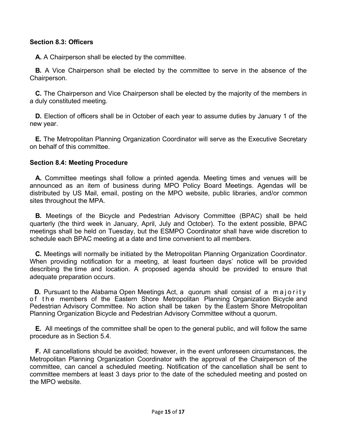# **Section 8.3: Officers**

**A.** A Chairperson shall be elected by the committee.

**B.** A Vice Chairperson shall be elected by the committee to serve in the absence of the Chairperson.

**C.** The Chairperson and Vice Chairperson shall be elected by the majority of the members in a duly constituted meeting.

**D.** Election of officers shall be in October of each year to assume duties by January 1 of the new year.

**E.** The Metropolitan Planning Organization Coordinator will serve as the Executive Secretary on behalf of this committee.

#### **Section 8.4: Meeting Procedure**

**A.** Committee meetings shall follow a printed agenda. Meeting times and venues will be announced as an item of business during MPO Policy Board Meetings. Agendas will be distributed by US Mail, email, posting on the MPO website, public libraries, and/or common sites throughout the MPA.

**B.** Meetings of the Bicycle and Pedestrian Advisory Committee (BPAC) shall be held quarterly (the third week in January, April, July and October). To the extent possible, BPAC meetings shall be held on Tuesday, but the ESMPO Coordinator shall have wide discretion to schedule each BPAC meeting at a date and time convenient to all members.

**C.** Meetings will normally be initiated by the Metropolitan Planning Organization Coordinator. When providing notification for a meeting, at least fourteen days' notice will be provided describing the time and location. A proposed agenda should be provided to ensure that adequate preparation occurs.

**D.** Pursuant to the Alabama Open Meetings Act, a quorum shall consist of a majority of the members of the Eastern Shore Metropolitan Planning Organization Bicycle and Pedestrian Advisory Committee. No action shall be taken by the Eastern Shore Metropolitan Planning Organization Bicycle and Pedestrian Advisory Committee without a quorum.

**E.** All meetings of the committee shall be open to the general public, and will follow the same procedure as in Section 5.4.

**F.** All cancellations should be avoided; however, in the event unforeseen circumstances, the Metropolitan Planning Organization Coordinator with the approval of the Chairperson of the committee, can cancel a scheduled meeting. Notification of the cancellation shall be sent to committee members at least 3 days prior to the date of the scheduled meeting and posted on the MPO website.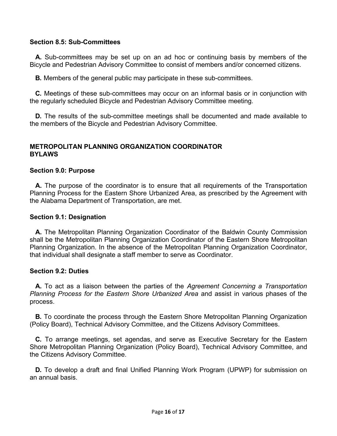# **Section 8.5: Sub-Committees**

**A.** Sub-committees may be set up on an ad hoc or continuing basis by members of the Bicycle and Pedestrian Advisory Committee to consist of members and/or concerned citizens.

**B.** Members of the general public may participate in these sub-committees.

**C.** Meetings of these sub-committees may occur on an informal basis or in conjunction with the regularly scheduled Bicycle and Pedestrian Advisory Committee meeting.

**D.** The results of the sub-committee meetings shall be documented and made available to the members of the Bicycle and Pedestrian Advisory Committee.

#### **METROPOLITAN PLANNING ORGANIZATION COORDINATOR BYLAWS**

#### **Section 9.0: Purpose**

**A.** The purpose of the coordinator is to ensure that all requirements of the Transportation Planning Process for the Eastern Shore Urbanized Area, as prescribed by the Agreement with the Alabama Department of Transportation, are met.

#### **Section 9.1: Designation**

**A.** The Metropolitan Planning Organization Coordinator of the Baldwin County Commission shall be the Metropolitan Planning Organization Coordinator of the Eastern Shore Metropolitan Planning Organization. In the absence of the Metropolitan Planning Organization Coordinator, that individual shall designate a staff member to serve as Coordinator.

#### **Section 9.2: Duties**

**A.** To act as a liaison between the parties of the *Agreement Concerning a Transportation Planning Process for the Eastern Shore Urbanized Area* and assist in various phases of the process.

**B.** To coordinate the process through the Eastern Shore Metropolitan Planning Organization (Policy Board), Technical Advisory Committee, and the Citizens Advisory Committees.

**C.** To arrange meetings, set agendas, and serve as Executive Secretary for the Eastern Shore Metropolitan Planning Organization (Policy Board), Technical Advisory Committee, and the Citizens Advisory Committee.

**D.** To develop a draft and final Unified Planning Work Program (UPWP) for submission on an annual basis.